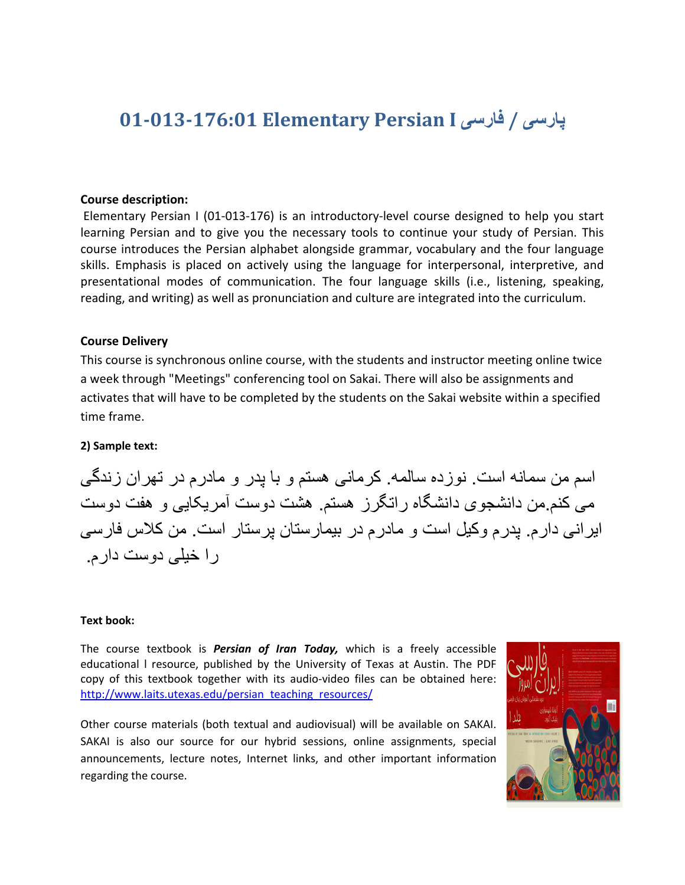# **01-013-176:01 Elementary Persian I یسراف / یسراپ**

#### **Course description:**

Elementary Persian I (01-013-176) is an introductory-level course designed to help you start learning Persian and to give you the necessary tools to continue your study of Persian. This course introduces the Persian alphabet alongside grammar, vocabulary and the four language skills. Emphasis is placed on actively using the language for interpersonal, interpretive, and presentational modes of communication. The four language skills (i.e., listening, speaking, reading, and writing) as well as pronunciation and culture are integrated into the curriculum.

#### **Course Delivery**

This course is synchronous online course, with the students and instructor meeting online twice a week through "Meetings" conferencing tool on Sakai. There will also be assignments and activates that will have to be completed by the students on the Sakai website within a specified time frame.

#### **2) Sample text:**

اسم من سمانه است. نوزده سالمه. کرمانی هستم و با پدر و مادرم در تهران زندگی می کنم من دانشجوی دانشگاه راتگرز هستم .هشت دوست آمریکایی و هفت دوست ایرانی دارم. یدرم وکیل است و مادرم در بیمارستان پرستار است. من کلاس فارسی ر ا خیلی دوست دار م

### **Text book:**

The course textbook is *Persian of Iran Today,* which is a freely accessible educational l resource, published by the University of Texas at Austin. The PDF copy of this textbook together with its audio-video files can be obtained here: http://www.laits.utexas.edu/persian\_teaching\_resources/

Other course materials (both textual and audiovisual) will be available on SAKAI. SAKAI is also our source for our hybrid sessions, online assignments, special announcements, lecture notes, Internet links, and other important information regarding the course.